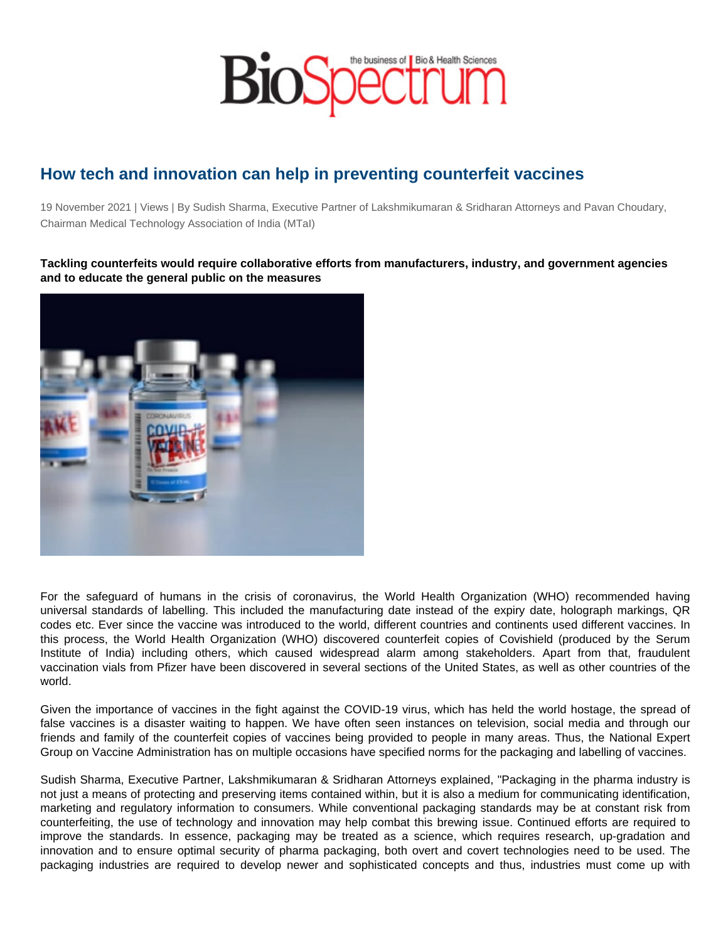## How tech and innovation can help in preventing counterfeit vaccines

19 November 2021 | Views | By Sudish Sharma, Executive Partner of Lakshmikumaran & Sridharan Attorneys and Pavan Choudary, Chairman Medical Technology Association of India (MTaI)

Tackling counterfeits would require collaborative efforts from manufacturers, industry, and government agencies and to educate the general public on the measures

For the safeguard of humans in the crisis of coronavirus, the World Health Organization (WHO) recommended having universal standards of labelling. This included the manufacturing date instead of the expiry date, holograph markings, QR codes etc. Ever since the vaccine was introduced to the world, different countries and continents used different vaccines. In this process, the World Health Organization (WHO) discovered counterfeit copies of Covishield (produced by the Serum Institute of India) including others, which caused widespread alarm among stakeholders. Apart from that, fraudulent vaccination vials from Pfizer have been discovered in several sections of the United States, as well as other countries of the world.

Given the importance of vaccines in the fight against the COVID-19 virus, which has held the world hostage, the spread of false vaccines is a disaster waiting to happen. We have often seen instances on television, social media and through our friends and family of the counterfeit copies of vaccines being provided to people in many areas. Thus, the National Expert Group on Vaccine Administration has on multiple occasions have specified norms for the packaging and labelling of vaccines.

Sudish Sharma, Executive Partner, Lakshmikumaran & Sridharan Attorneys explained, "Packaging in the pharma industry is not just a means of protecting and preserving items contained within, but it is also a medium for communicating identification, marketing and regulatory information to consumers. While conventional packaging standards may be at constant risk from counterfeiting, the use of technology and innovation may help combat this brewing issue. Continued efforts are required to improve the standards. In essence, packaging may be treated as a science, which requires research, up-gradation and innovation and to ensure optimal security of pharma packaging, both overt and covert technologies need to be used. The packaging industries are required to develop newer and sophisticated concepts and thus, industries must come up with